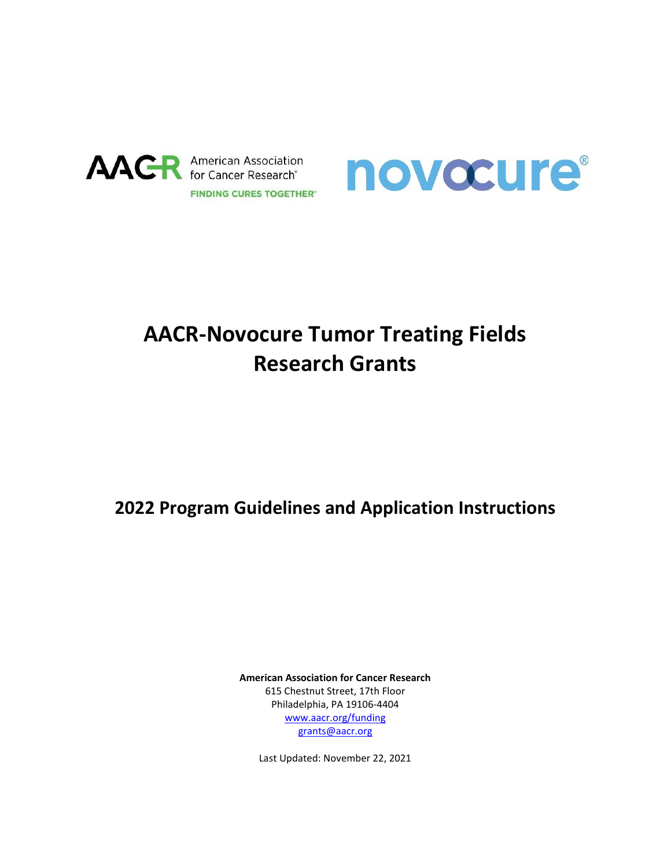



# **AACR-Novocure Tumor Treating Fields Research Grants**

## **2022 Program Guidelines and Application Instructions**

**American Association for Cancer Research** 615 Chestnut Street, 17th Floor Philadelphia, PA 19106-4404 [www.aacr.org/funding](http://www.aacr.org/funding) [grants@aacr.org](mailto:grants@aacr.org)

Last Updated: November 22, 2021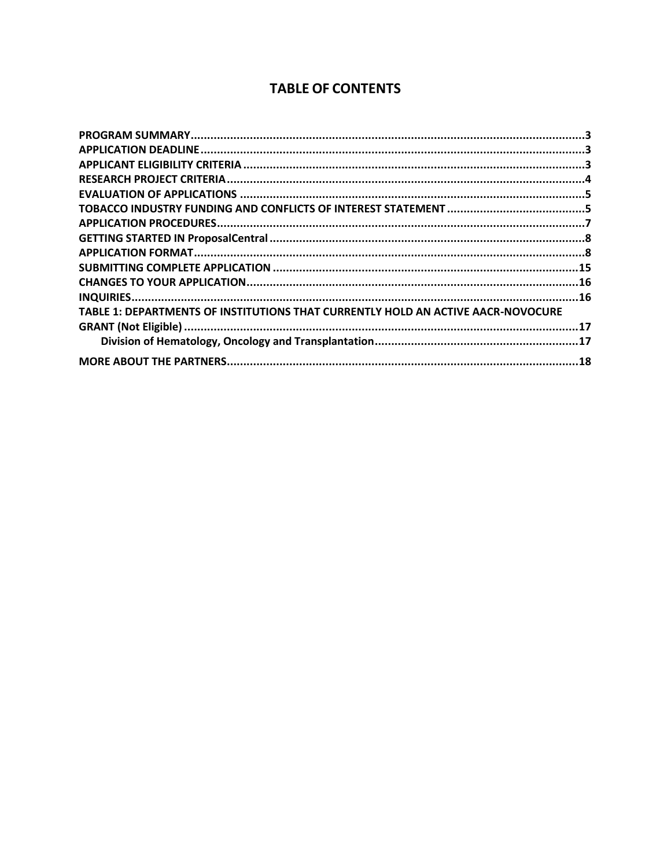### **TABLE OF CONTENTS**

| TABLE 1: DEPARTMENTS OF INSTITUTIONS THAT CURRENTLY HOLD AN ACTIVE AACR-NOVOCURE |  |
|----------------------------------------------------------------------------------|--|
|                                                                                  |  |
|                                                                                  |  |
|                                                                                  |  |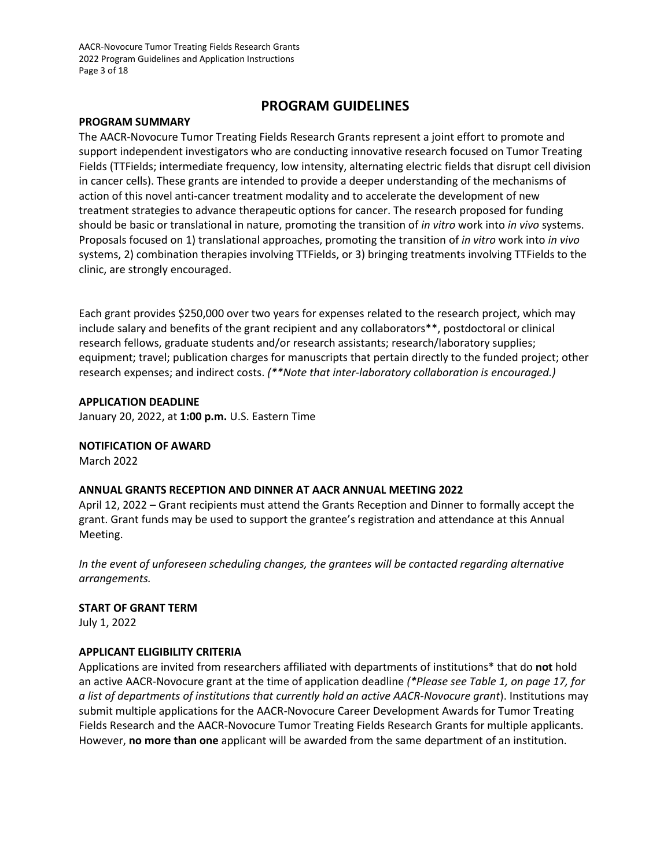AACR-Novocure Tumor Treating Fields Research Grants 2022 Program Guidelines and Application Instructions Page 3 of 18

### **PROGRAM GUIDELINES**

#### <span id="page-2-0"></span>**PROGRAM SUMMARY**

The AACR-Novocure Tumor Treating Fields Research Grants represent a joint effort to promote and support independent investigators who are conducting innovative research focused on Tumor Treating Fields (TTFields; intermediate frequency, low intensity, alternating electric fields that disrupt cell division in cancer cells). These grants are intended to provide a deeper understanding of the mechanisms of action of this novel anti-cancer treatment modality and to accelerate the development of new treatment strategies to advance therapeutic options for cancer. The research proposed for funding should be basic or translational in nature, promoting the transition of *in vitro* work into *in vivo* systems. Proposals focused on 1) translational approaches, promoting the transition of *in vitro* work into *in vivo* systems, 2) combination therapies involving TTFields, or 3) bringing treatments involving TTFields to the clinic, are strongly encouraged.

Each grant provides \$250,000 over two years for expenses related to the research project, which may include salary and benefits of the grant recipient and any collaborators\*\*, postdoctoral or clinical research fellows, graduate students and/or research assistants; research/laboratory supplies; equipment; travel; publication charges for manuscripts that pertain directly to the funded project; other research expenses; and indirect costs. *(\*\*Note that inter-laboratory collaboration is encouraged.)*

#### <span id="page-2-1"></span>**APPLICATION DEADLINE**

January 20, 2022, at **1:00 p.m.** U.S. Eastern Time

### **NOTIFICATION OF AWARD**

March 2022

### **ANNUAL GRANTS RECEPTION AND DINNER AT AACR ANNUAL MEETING 2022**

April 12, 2022 – Grant recipients must attend the Grants Reception and Dinner to formally accept the grant. Grant funds may be used to support the grantee's registration and attendance at this Annual Meeting.

*In the event of unforeseen scheduling changes, the grantees will be contacted regarding alternative arrangements.*

#### **START OF GRANT TERM**

July 1, 2022

### <span id="page-2-2"></span>**APPLICANT ELIGIBILITY CRITERIA**

Applications are invited from researchers affiliated with departments of institutions\* that do **not** hold an active AACR-Novocure grant at the time of application deadline *(\*Please see Table 1, on page 17, for a list of departments of institutions that currently hold an active AACR-Novocure grant*). Institutions may submit multiple applications for the AACR-Novocure Career Development Awards for Tumor Treating Fields Research and the AACR-Novocure Tumor Treating Fields Research Grants for multiple applicants. However, **no more than one** applicant will be awarded from the same department of an institution.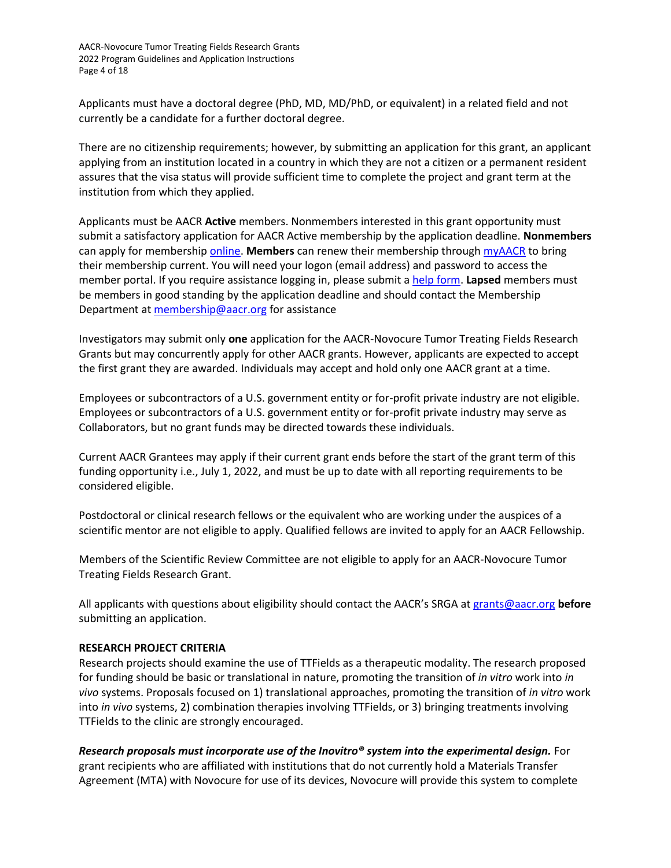AACR-Novocure Tumor Treating Fields Research Grants 2022 Program Guidelines and Application Instructions Page 4 of 18

Applicants must have a doctoral degree (PhD, MD, MD/PhD, or equivalent) in a related field and not currently be a candidate for a further doctoral degree.

There are no citizenship requirements; however, by submitting an application for this grant, an applicant applying from an institution located in a country in which they are not a citizen or a permanent resident assures that the visa status will provide sufficient time to complete the project and grant term at the institution from which they applied.

Applicants must be AACR **Active** members. Nonmembers interested in this grant opportunity must submit a satisfactory application for AACR Active membership by the application deadline. **Nonmembers** can apply for membershi[p online.](https://myaacr.aacr.org/) **Members** can renew their membership through [myAACR](https://myaacr.aacr.org/) to bring their membership current. You will need your logon (email address) and password to access the member portal. If you require assistance logging in, please submit [a help form.](https://myaacr.aacr.org/myAACRHelp) **Lapsed** members must be members in good standing by the application deadline and should contact the Membership Department a[t membership@aacr.org](mailto:membership@aacr.org) for assistance

Investigators may submit only **one** application for the AACR-Novocure Tumor Treating Fields Research Grants but may concurrently apply for other AACR grants. However, applicants are expected to accept the first grant they are awarded. Individuals may accept and hold only one AACR grant at a time.

Employees or subcontractors of a U.S. government entity or for-profit private industry are not eligible. Employees or subcontractors of a U.S. government entity or for‐profit private industry may serve as Collaborators, but no grant funds may be directed towards these individuals.

Current AACR Grantees may apply if their current grant ends before the start of the grant term of this funding opportunity i.e., July 1, 2022, and must be up to date with all reporting requirements to be considered eligible.

Postdoctoral or clinical research fellows or the equivalent who are working under the auspices of a scientific mentor are not eligible to apply. Qualified fellows are invited to apply for an AACR Fellowship.

Members of the Scientific Review Committee are not eligible to apply for an AACR-Novocure Tumor Treating Fields Research Grant.

All applicants with questions about eligibility should contact the AACR's SRGA at [grants@aacr.org](mailto:grants@aacr.org) **before**  submitting an application.

#### <span id="page-3-0"></span>**RESEARCH PROJECT CRITERIA**

Research projects should examine the use of TTFields as a therapeutic modality. The research proposed for funding should be basic or translational in nature, promoting the transition of *in vitro* work into *in vivo* systems. Proposals focused on 1) translational approaches, promoting the transition of *in vitro* work into *in vivo* systems, 2) combination therapies involving TTFields, or 3) bringing treatments involving TTFields to the clinic are strongly encouraged.

*Research proposals must incorporate use of the Inovitro® system into the experimental design.* For grant recipients who are affiliated with institutions that do not currently hold a Materials Transfer Agreement (MTA) with Novocure for use of its devices, Novocure will provide this system to complete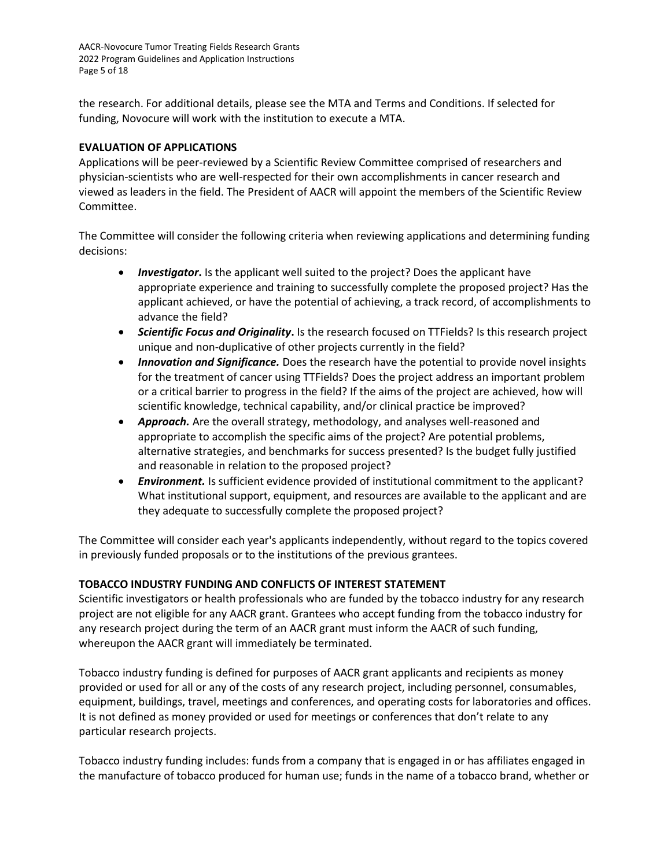AACR-Novocure Tumor Treating Fields Research Grants 2022 Program Guidelines and Application Instructions Page 5 of 18

the research. For additional details, please see the MTA and Terms and Conditions. If selected for funding, Novocure will work with the institution to execute a MTA.

### <span id="page-4-0"></span>**EVALUATION OF APPLICATIONS**

Applications will be peer-reviewed by a Scientific Review Committee comprised of researchers and physician-scientists who are well-respected for their own accomplishments in cancer research and viewed as leaders in the field. The President of AACR will appoint the members of the Scientific Review Committee.

The Committee will consider the following criteria when reviewing applications and determining funding decisions:

- *Investigator***.** Is the applicant well suited to the project? Does the applicant have appropriate experience and training to successfully complete the proposed project? Has the applicant achieved, or have the potential of achieving, a track record, of accomplishments to advance the field?
- *Scientific Focus and Originality***.** Is the research focused on TTFields? Is this research project unique and non-duplicative of other projects currently in the field?
- *Innovation and Significance.* Does the research have the potential to provide novel insights for the treatment of cancer using TTFields? Does the project address an important problem or a critical barrier to progress in the field? If the aims of the project are achieved, how will scientific knowledge, technical capability, and/or clinical practice be improved?
- *Approach.* Are the overall strategy, methodology, and analyses well-reasoned and appropriate to accomplish the specific aims of the project? Are potential problems, alternative strategies, and benchmarks for success presented? Is the budget fully justified and reasonable in relation to the proposed project?
- *Environment.* Is sufficient evidence provided of institutional commitment to the applicant? What institutional support, equipment, and resources are available to the applicant and are they adequate to successfully complete the proposed project?

The Committee will consider each year's applicants independently, without regard to the topics covered in previously funded proposals or to the institutions of the previous grantees.

### <span id="page-4-1"></span>**TOBACCO INDUSTRY FUNDING AND CONFLICTS OF INTEREST STATEMENT**

Scientific investigators or health professionals who are funded by the tobacco industry for any research project are not eligible for any AACR grant. Grantees who accept funding from the tobacco industry for any research project during the term of an AACR grant must inform the AACR of such funding, whereupon the AACR grant will immediately be terminated.

Tobacco industry funding is defined for purposes of AACR grant applicants and recipients as money provided or used for all or any of the costs of any research project, including personnel, consumables, equipment, buildings, travel, meetings and conferences, and operating costs for laboratories and offices. It is not defined as money provided or used for meetings or conferences that don't relate to any particular research projects.

Tobacco industry funding includes: funds from a company that is engaged in or has affiliates engaged in the manufacture of tobacco produced for human use; funds in the name of a tobacco brand, whether or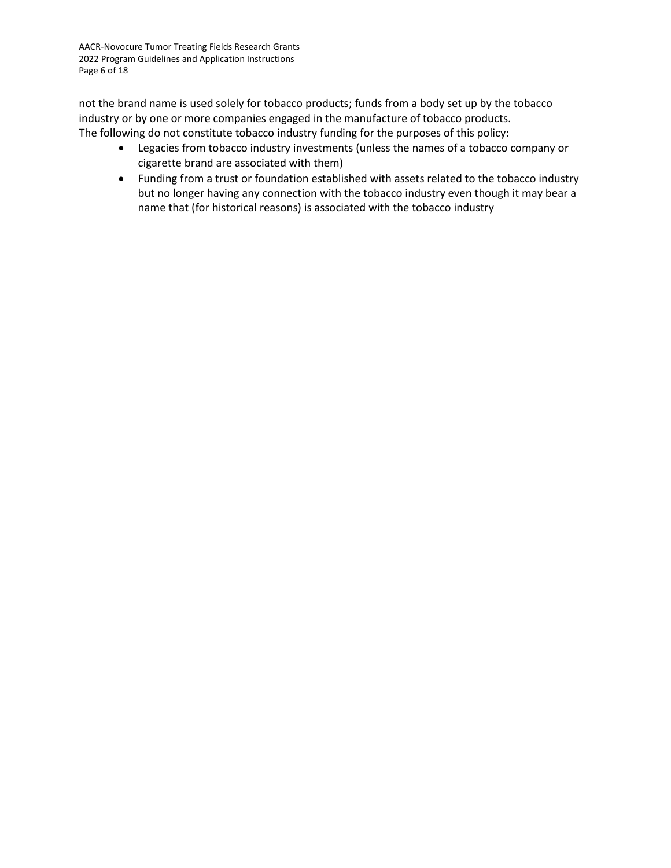AACR-Novocure Tumor Treating Fields Research Grants 2022 Program Guidelines and Application Instructions Page 6 of 18

not the brand name is used solely for tobacco products; funds from a body set up by the tobacco industry or by one or more companies engaged in the manufacture of tobacco products. The following do not constitute tobacco industry funding for the purposes of this policy:

- Legacies from tobacco industry investments (unless the names of a tobacco company or cigarette brand are associated with them)
- Funding from a trust or foundation established with assets related to the tobacco industry but no longer having any connection with the tobacco industry even though it may bear a name that (for historical reasons) is associated with the tobacco industry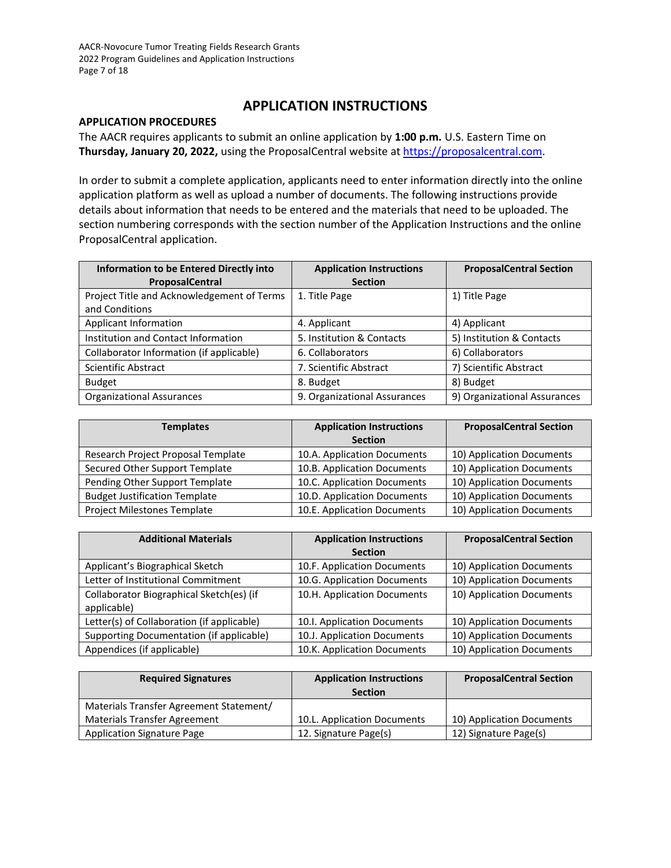### **APPLICATION INSTRUCTIONS**

### <span id="page-6-0"></span>**APPLICATION PROCEDURES**

The AACR requires applicants to submit an online application by **1:00 p.m.** U.S. Eastern Time on **Thursday, January 20, 2022,** using the ProposalCentral website at [https://proposalcentral.com.](https://proposalcentral.com/)

In order to submit a complete application, applicants need to enter information directly into the online application platform as well as upload a number of documents. The following instructions provide details about information that needs to be entered and the materials that need to be uploaded. The section numbering corresponds with the section number of the Application Instructions and the online ProposalCentral application.

| <b>Information to be Entered Directly into</b> | <b>Application Instructions</b> | <b>ProposalCentral Section</b> |
|------------------------------------------------|---------------------------------|--------------------------------|
| <b>ProposalCentral</b>                         | <b>Section</b>                  |                                |
| Project Title and Acknowledgement of Terms     | 1. Title Page                   | 1) Title Page                  |
| and Conditions                                 |                                 |                                |
| Applicant Information                          | 4. Applicant                    | 4) Applicant                   |
| Institution and Contact Information            | 5. Institution & Contacts       | 5) Institution & Contacts      |
| Collaborator Information (if applicable)       | 6. Collaborators                | 6) Collaborators               |
| Scientific Abstract                            | 7. Scientific Abstract          | 7) Scientific Abstract         |
| <b>Budget</b>                                  | 8. Budget                       | 8) Budget                      |
| <b>Organizational Assurances</b>               | 9. Organizational Assurances    | 9) Organizational Assurances   |

| <b>Templates</b>                     | <b>Application Instructions</b><br><b>Section</b> | <b>ProposalCentral Section</b> |
|--------------------------------------|---------------------------------------------------|--------------------------------|
| Research Project Proposal Template   | 10.A. Application Documents                       | 10) Application Documents      |
| Secured Other Support Template       | 10.B. Application Documents                       | 10) Application Documents      |
| Pending Other Support Template       | 10.C. Application Documents                       | 10) Application Documents      |
| <b>Budget Justification Template</b> | 10.D. Application Documents                       | 10) Application Documents      |
| Project Milestones Template          | 10.E. Application Documents                       | 10) Application Documents      |

| <b>Additional Materials</b>                | <b>Application Instructions</b> | <b>ProposalCentral Section</b> |
|--------------------------------------------|---------------------------------|--------------------------------|
|                                            | <b>Section</b>                  |                                |
| Applicant's Biographical Sketch            | 10.F. Application Documents     | 10) Application Documents      |
| Letter of Institutional Commitment         | 10.G. Application Documents     | 10) Application Documents      |
| Collaborator Biographical Sketch(es) (if   | 10.H. Application Documents     | 10) Application Documents      |
| applicable)                                |                                 |                                |
| Letter(s) of Collaboration (if applicable) | 10.I. Application Documents     | 10) Application Documents      |
| Supporting Documentation (if applicable)   | 10.J. Application Documents     | 10) Application Documents      |
| Appendices (if applicable)                 | 10.K. Application Documents     | 10) Application Documents      |

| <b>Required Signatures</b>              | <b>Application Instructions</b><br><b>Section</b> | <b>ProposalCentral Section</b> |
|-----------------------------------------|---------------------------------------------------|--------------------------------|
| Materials Transfer Agreement Statement/ |                                                   |                                |
| <b>Materials Transfer Agreement</b>     | 10.L. Application Documents                       | 10) Application Documents      |
| <b>Application Signature Page</b>       | 12. Signature Page(s)                             | 12) Signature Page(s)          |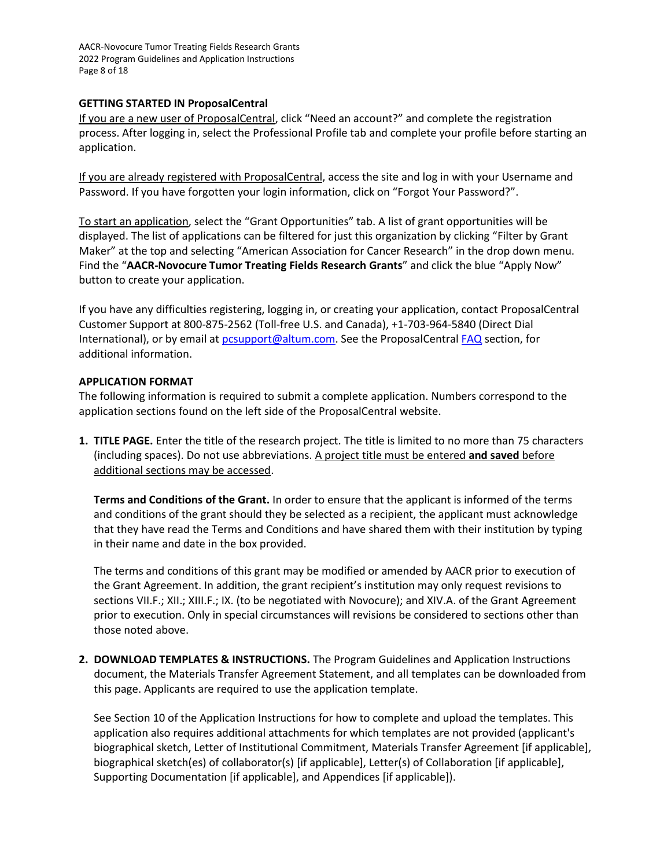AACR-Novocure Tumor Treating Fields Research Grants 2022 Program Guidelines and Application Instructions Page 8 of 18

### <span id="page-7-0"></span>**GETTING STARTED IN ProposalCentral**

If you are a new user of ProposalCentral, click "Need an account?" and complete the registration process. After logging in, select the Professional Profile tab and complete your profile before starting an application.

If you are already registered with ProposalCentral, access the site and log in with your Username and Password. If you have forgotten your login information, click on "Forgot Your Password?".

To start an application, select the "Grant Opportunities" tab. A list of grant opportunities will be displayed. The list of applications can be filtered for just this organization by clicking "Filter by Grant Maker" at the top and selecting "American Association for Cancer Research" in the drop down menu. Find the "**AACR-Novocure Tumor Treating Fields Research Grants**" and click the blue "Apply Now" button to create your application.

If you have any difficulties registering, logging in, or creating your application, contact ProposalCentral Customer Support at 800-875-2562 (Toll-free U.S. and Canada), +1-703-964-5840 (Direct Dial International), or by email a[t pcsupport@altum.com.](mailto:pcsupport@altum.com) See the ProposalCentral [FAQ](https://proposalcentral.com/FAQ/FrequentlyAskedQuestions.asp) section, for additional information.

### <span id="page-7-1"></span>**APPLICATION FORMAT**

The following information is required to submit a complete application. Numbers correspond to the application sections found on the left side of the ProposalCentral website.

**1. TITLE PAGE.** Enter the title of the research project. The title is limited to no more than 75 characters (including spaces). Do not use abbreviations. A project title must be entered **and saved** before additional sections may be accessed.

**Terms and Conditions of the Grant.** In order to ensure that the applicant is informed of the terms and conditions of the grant should they be selected as a recipient, the applicant must acknowledge that they have read the Terms and Conditions and have shared them with their institution by typing in their name and date in the box provided.

The terms and conditions of this grant may be modified or amended by AACR prior to execution of the Grant Agreement. In addition, the grant recipient's institution may only request revisions to sections VII.F.; XII.; XIII.F.; IX. (to be negotiated with Novocure); and XIV.A. of the Grant Agreement prior to execution. Only in special circumstances will revisions be considered to sections other than those noted above.

**2. DOWNLOAD TEMPLATES & INSTRUCTIONS.** The Program Guidelines and Application Instructions document, the Materials Transfer Agreement Statement, and all templates can be downloaded from this page. Applicants are required to use the application template.

See Section 10 of the Application Instructions for how to complete and upload the templates. This application also requires additional attachments for which templates are not provided (applicant's biographical sketch, Letter of Institutional Commitment, Materials Transfer Agreement [if applicable], biographical sketch(es) of collaborator(s) [if applicable], Letter(s) of Collaboration [if applicable], Supporting Documentation [if applicable], and Appendices [if applicable]).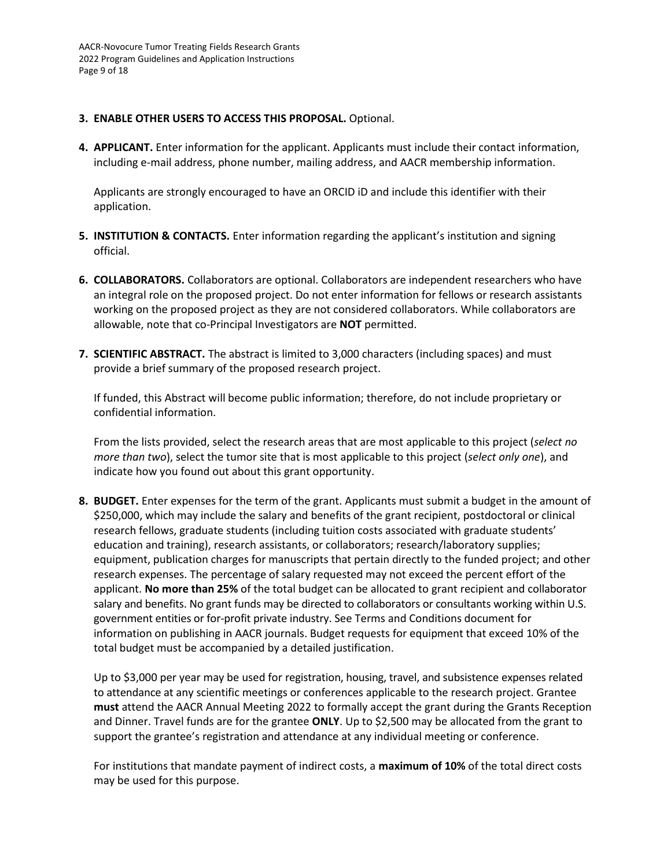AACR-Novocure Tumor Treating Fields Research Grants 2022 Program Guidelines and Application Instructions Page 9 of 18

### **3. ENABLE OTHER USERS TO ACCESS THIS PROPOSAL.** Optional.

**4. APPLICANT.** Enter information for the applicant. Applicants must include their contact information, including e-mail address, phone number, mailing address, and AACR membership information.

Applicants are strongly encouraged to have an ORCID iD and include this identifier with their application.

- **5. INSTITUTION & CONTACTS.** Enter information regarding the applicant's institution and signing official.
- **6. COLLABORATORS.** Collaborators are optional. Collaborators are independent researchers who have an integral role on the proposed project. Do not enter information for fellows or research assistants working on the proposed project as they are not considered collaborators. While collaborators are allowable, note that co-Principal Investigators are **NOT** permitted.
- **7. SCIENTIFIC ABSTRACT.** The abstract is limited to 3,000 characters (including spaces) and must provide a brief summary of the proposed research project.

If funded, this Abstract will become public information; therefore, do not include proprietary or confidential information.

From the lists provided, select the research areas that are most applicable to this project (*select no more than two*), select the tumor site that is most applicable to this project (*select only one*), and indicate how you found out about this grant opportunity.

**8. BUDGET.** Enter expenses for the term of the grant. Applicants must submit a budget in the amount of \$250,000, which may include the salary and benefits of the grant recipient, postdoctoral or clinical research fellows, graduate students (including tuition costs associated with graduate students' education and training), research assistants, or collaborators; research/laboratory supplies; equipment, publication charges for manuscripts that pertain directly to the funded project; and other research expenses. The percentage of salary requested may not exceed the percent effort of the applicant. **No more than 25%** of the total budget can be allocated to grant recipient and collaborator salary and benefits. No grant funds may be directed to collaborators or consultants working within U.S. government entities or for-profit private industry. See Terms and Conditions document for information on publishing in AACR journals. Budget requests for equipment that exceed 10% of the total budget must be accompanied by a detailed justification.

Up to \$3,000 per year may be used for registration, housing, travel, and subsistence expenses related to attendance at any scientific meetings or conferences applicable to the research project. Grantee **must** attend the AACR Annual Meeting 2022 to formally accept the grant during the Grants Reception and Dinner. Travel funds are for the grantee **ONLY**. Up to \$2,500 may be allocated from the grant to support the grantee's registration and attendance at any individual meeting or conference.

For institutions that mandate payment of indirect costs, a **maximum of 10%** of the total direct costs may be used for this purpose.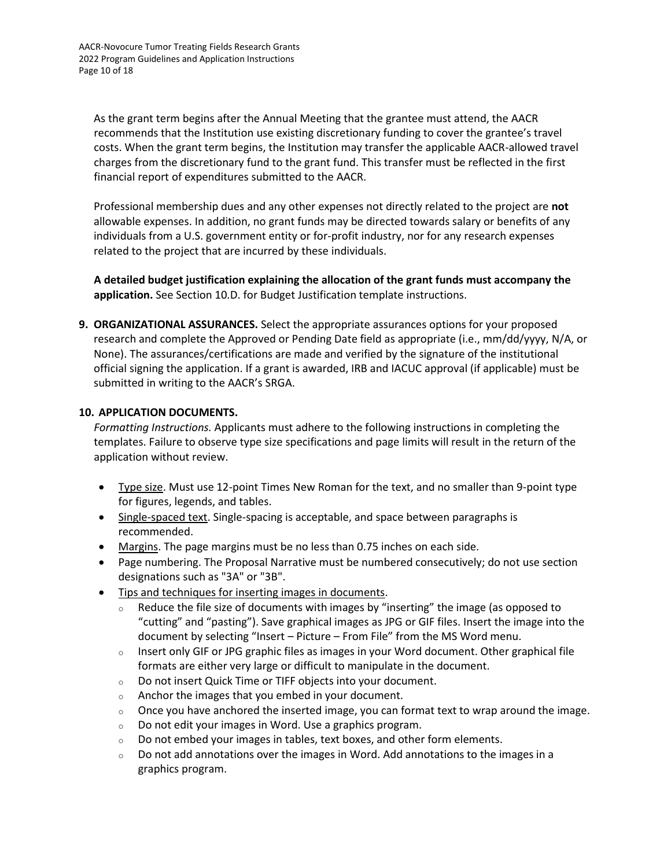AACR-Novocure Tumor Treating Fields Research Grants 2022 Program Guidelines and Application Instructions Page 10 of 18

As the grant term begins after the Annual Meeting that the grantee must attend, the AACR recommends that the Institution use existing discretionary funding to cover the grantee's travel costs. When the grant term begins, the Institution may transfer the applicable AACR-allowed travel charges from the discretionary fund to the grant fund. This transfer must be reflected in the first financial report of expenditures submitted to the AACR.

Professional membership dues and any other expenses not directly related to the project are **not** allowable expenses. In addition, no grant funds may be directed towards salary or benefits of any individuals from a U.S. government entity or for-profit industry, nor for any research expenses related to the project that are incurred by these individuals.

**A detailed budget justification explaining the allocation of the grant funds must accompany the application.** See Section 10.D. for Budget Justification template instructions.

**9. ORGANIZATIONAL ASSURANCES.** Select the appropriate assurances options for your proposed research and complete the Approved or Pending Date field as appropriate (i.e., mm/dd/yyyy, N/A, or None). The assurances/certifications are made and verified by the signature of the institutional official signing the application. If a grant is awarded, IRB and IACUC approval (if applicable) must be submitted in writing to the AACR's SRGA.

### **10. APPLICATION DOCUMENTS.**

*Formatting Instructions.* Applicants must adhere to the following instructions in completing the templates. Failure to observe type size specifications and page limits will result in the return of the application without review.

- Type size. Must use 12-point Times New Roman for the text, and no smaller than 9-point type for figures, legends, and tables.
- Single-spaced text. Single-spacing is acceptable, and space between paragraphs is recommended.
- Margins. The page margins must be no less than 0.75 inches on each side.
- Page numbering. The Proposal Narrative must be numbered consecutively; do not use section designations such as "3A" or "3B".
- Tips and techniques for inserting images in documents.
	- $\circ$  Reduce the file size of documents with images by "inserting" the image (as opposed to "cutting" and "pasting"). Save graphical images as JPG or GIF files. Insert the image into the document by selecting "Insert – Picture – From File" from the MS Word menu.
	- $\circ$  Insert only GIF or JPG graphic files as images in your Word document. Other graphical file formats are either very large or difficult to manipulate in the document.
	- o Do not insert Quick Time or TIFF objects into your document.
	- o Anchor the images that you embed in your document.
	- $\circ$  Once you have anchored the inserted image, you can format text to wrap around the image.
	- o Do not edit your images in Word. Use a graphics program.
	- o Do not embed your images in tables, text boxes, and other form elements.
	- $\circ$  Do not add annotations over the images in Word. Add annotations to the images in a graphics program.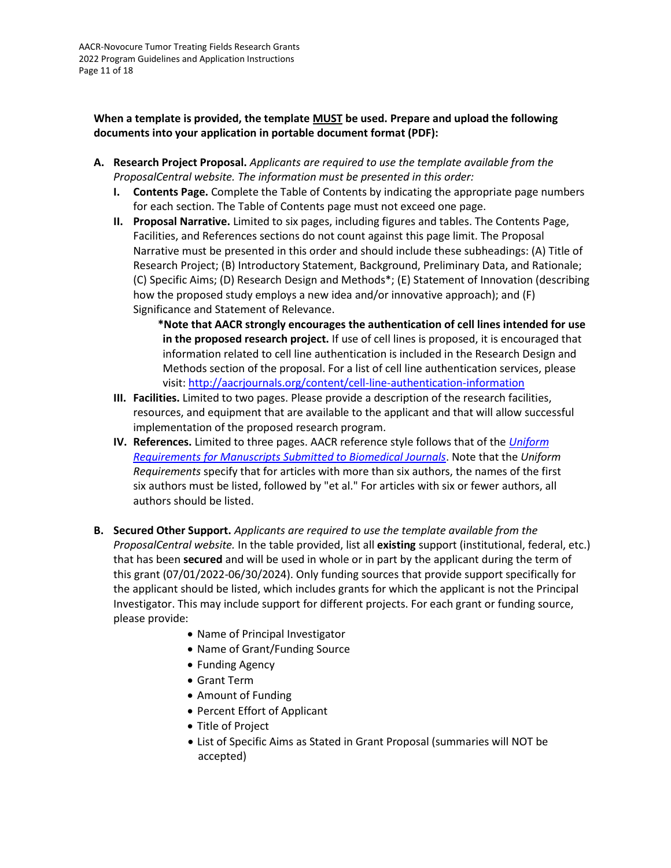AACR-Novocure Tumor Treating Fields Research Grants 2022 Program Guidelines and Application Instructions Page 11 of 18

**When a template is provided, the template MUST be used. Prepare and upload the following documents into your application in portable document format (PDF):**

- **A. Research Project Proposal.** *Applicants are required to use the template available from the ProposalCentral website. The information must be presented in this order:*
	- **I. Contents Page.** Complete the Table of Contents by indicating the appropriate page numbers for each section. The Table of Contents page must not exceed one page.
	- **II. Proposal Narrative.** Limited to six pages, including figures and tables. The Contents Page, Facilities, and References sections do not count against this page limit. The Proposal Narrative must be presented in this order and should include these subheadings: (A) Title of Research Project; (B) Introductory Statement, Background, Preliminary Data, and Rationale; (C) Specific Aims; (D) Research Design and Methods\*; (E) Statement of Innovation (describing how the proposed study employs a new idea and/or innovative approach); and (F) Significance and Statement of Relevance.

**\*Note that AACR strongly encourages the authentication of cell lines intended for use in the proposed research project.** If use of cell lines is proposed, it is encouraged that information related to cell line authentication is included in the Research Design and Methods section of the proposal. For a list of cell line authentication services, please visit:<http://aacrjournals.org/content/cell-line-authentication-information>

- **III. Facilities.** Limited to two pages. Please provide a description of the research facilities, resources, and equipment that are available to the applicant and that will allow successful implementation of the proposed research program.
- **IV. References.** Limited to three pages. AACR reference style follows that of the *[Uniform](http://www.nlm.nih.gov/bsd/uniform_requirements.html)  [Requirements for Manuscripts Submitted to Biomedical Journals](http://www.nlm.nih.gov/bsd/uniform_requirements.html)*. Note that the *Uniform Requirements* specify that for articles with more than six authors, the names of the first six authors must be listed, followed by "et al." For articles with six or fewer authors, all authors should be listed.
- **B. Secured Other Support.** *Applicants are required to use the template available from the ProposalCentral website.* In the table provided, list all **existing** support (institutional, federal, etc.) that has been **secured** and will be used in whole or in part by the applicant during the term of this grant (07/01/2022-06/30/2024). Only funding sources that provide support specifically for the applicant should be listed, which includes grants for which the applicant is not the Principal Investigator. This may include support for different projects. For each grant or funding source, please provide:
	- Name of Principal Investigator
	- Name of Grant/Funding Source
	- Funding Agency
	- Grant Term
	- Amount of Funding
	- Percent Effort of Applicant
	- Title of Project
	- List of Specific Aims as Stated in Grant Proposal (summaries will NOT be accepted)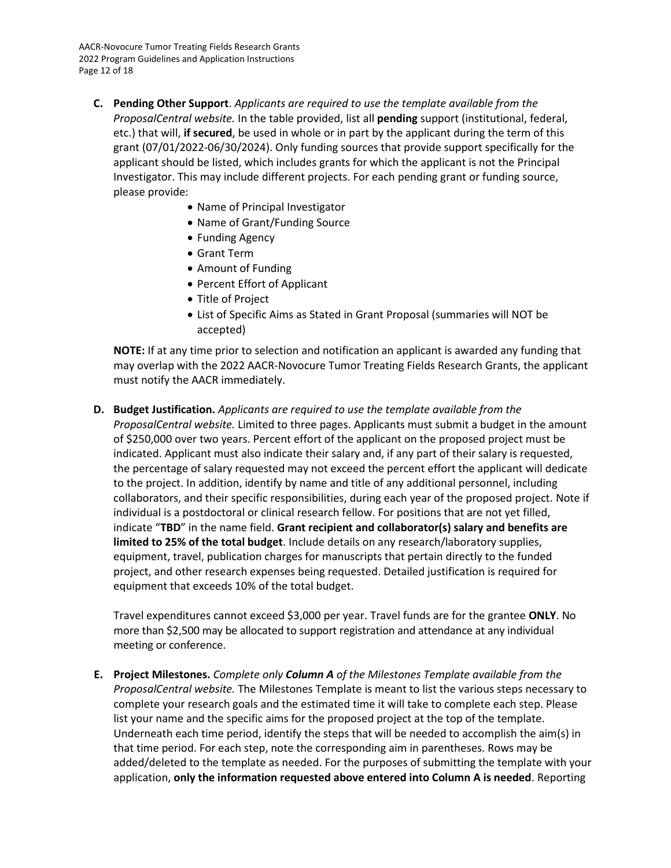AACR-Novocure Tumor Treating Fields Research Grants 2022 Program Guidelines and Application Instructions Page 12 of 18

- **C. Pending Other Support**. *Applicants are required to use the template available from the ProposalCentral website.* In the table provided, list all **pending** support (institutional, federal, etc.) that will, **if secured**, be used in whole or in part by the applicant during the term of this grant (07/01/2022-06/30/2024). Only funding sources that provide support specifically for the applicant should be listed, which includes grants for which the applicant is not the Principal Investigator. This may include different projects. For each pending grant or funding source, please provide:
	- Name of Principal Investigator
	- Name of Grant/Funding Source
	- Funding Agency
	- Grant Term
	- Amount of Funding
	- Percent Effort of Applicant
	- Title of Project
	- List of Specific Aims as Stated in Grant Proposal (summaries will NOT be accepted)

**NOTE:** If at any time prior to selection and notification an applicant is awarded any funding that may overlap with the 2022 AACR-Novocure Tumor Treating Fields Research Grants, the applicant must notify the AACR immediately.

**D. Budget Justification.** *Applicants are required to use the template available from the* 

*ProposalCentral website.* Limited to three pages. Applicants must submit a budget in the amount of \$250,000 over two years. Percent effort of the applicant on the proposed project must be indicated. Applicant must also indicate their salary and, if any part of their salary is requested, the percentage of salary requested may not exceed the percent effort the applicant will dedicate to the project. In addition, identify by name and title of any additional personnel, including collaborators, and their specific responsibilities, during each year of the proposed project. Note if individual is a postdoctoral or clinical research fellow. For positions that are not yet filled, indicate "**TBD**" in the name field. **Grant recipient and collaborator(s) salary and benefits are limited to 25% of the total budget**. Include details on any research/laboratory supplies, equipment, travel, publication charges for manuscripts that pertain directly to the funded project, and other research expenses being requested. Detailed justification is required for equipment that exceeds 10% of the total budget.

Travel expenditures cannot exceed \$3,000 per year. Travel funds are for the grantee **ONLY**. No more than \$2,500 may be allocated to support registration and attendance at any individual meeting or conference.

**E. Project Milestones.** *Complete only Column A of the Milestones Template available from the ProposalCentral website.* The Milestones Template is meant to list the various steps necessary to complete your research goals and the estimated time it will take to complete each step. Please list your name and the specific aims for the proposed project at the top of the template. Underneath each time period, identify the steps that will be needed to accomplish the aim(s) in that time period. For each step, note the corresponding aim in parentheses. Rows may be added/deleted to the template as needed. For the purposes of submitting the template with your application, **only the information requested above entered into Column A is needed**. Reporting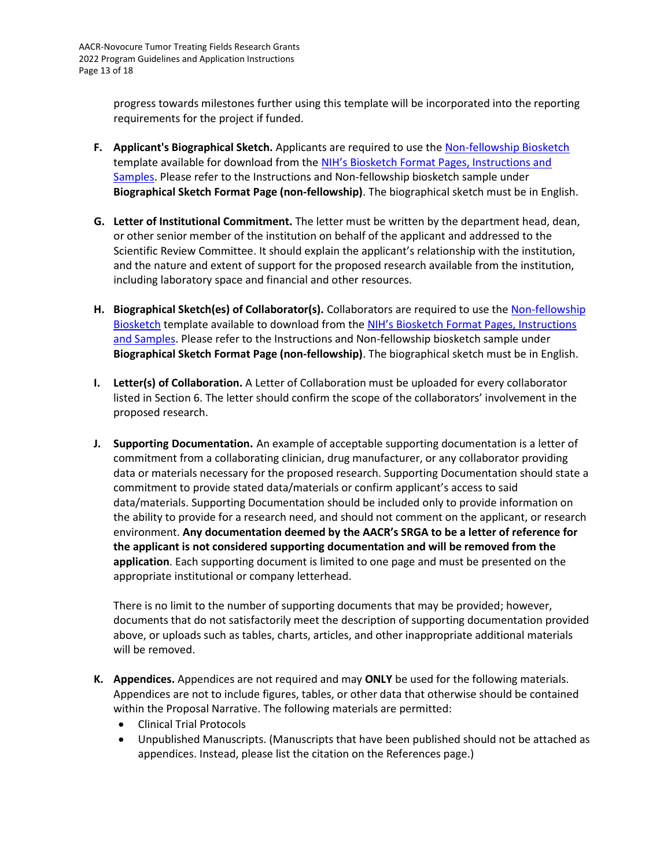progress towards milestones further using this template will be incorporated into the reporting requirements for the project if funded.

- **F. Applicant's Biographical Sketch.** Applicants are required to use the [Non-fellowship Biosketch](https://grants.nih.gov/grants/forms/biosketch-blankformat_exp%2002-28-2023.docx) template available for download from the [NIH's Biosketch Format P](https://grants.nih.gov/grants/forms/biosketch.htm)ages, Instructions and [Samples.](https://grants.nih.gov/grants/forms/biosketch.htm) Please refer to the Instructions and Non-fellowship biosketch sample under **Biographical Sketch Format Page (non-fellowship)**. The biographical sketch must be in English.
- **G. Letter of Institutional Commitment.** The letter must be written by the department head, dean, or other senior member of the institution on behalf of the applicant and addressed to the Scientific Review Committee. It should explain the applicant's relationship with the institution, and the nature and extent of support for the proposed research available from the institution, including laboratory space and financial and other resources.
- **H. Biographical Sketch(es) of Collaborator(s).** Collaborators are required to use th[e Non-fellowship](https://grants.nih.gov/grants/forms/biosketch-blankformat_exp%2002-28-2023.docx)  [Biosketch](https://grants.nih.gov/grants/forms/biosketch-blankformat_exp%2002-28-2023.docx) template available to download from the [NIH's Biosketch Format Pa](https://grants.nih.gov/grants/forms/biosketch.htm)ges, Instructions [and Samples.](https://grants.nih.gov/grants/forms/biosketch.htm) Please refer to the Instructions and Non-fellowship biosketch sample under **Biographical Sketch Format Page (non-fellowship)**. The biographical sketch must be in English.
- **I. Letter(s) of Collaboration.** A Letter of Collaboration must be uploaded for every collaborator listed in Section 6. The letter should confirm the scope of the collaborators' involvement in the proposed research.
- **J. Supporting Documentation.** An example of acceptable supporting documentation is a letter of commitment from a collaborating clinician, drug manufacturer, or any collaborator providing data or materials necessary for the proposed research. Supporting Documentation should state a commitment to provide stated data/materials or confirm applicant's access to said data/materials. Supporting Documentation should be included only to provide information on the ability to provide for a research need, and should not comment on the applicant, or research environment. **Any documentation deemed by the AACR's SRGA to be a letter of reference for the applicant is not considered supporting documentation and will be removed from the application**. Each supporting document is limited to one page and must be presented on the appropriate institutional or company letterhead.

There is no limit to the number of supporting documents that may be provided; however, documents that do not satisfactorily meet the description of supporting documentation provided above, or uploads such as tables, charts, articles, and other inappropriate additional materials will be removed.

- **K. Appendices.** Appendices are not required and may **ONLY** be used for the following materials. Appendices are not to include figures, tables, or other data that otherwise should be contained within the Proposal Narrative. The following materials are permitted:
	- Clinical Trial Protocols
	- Unpublished Manuscripts. (Manuscripts that have been published should not be attached as appendices. Instead, please list the citation on the References page.)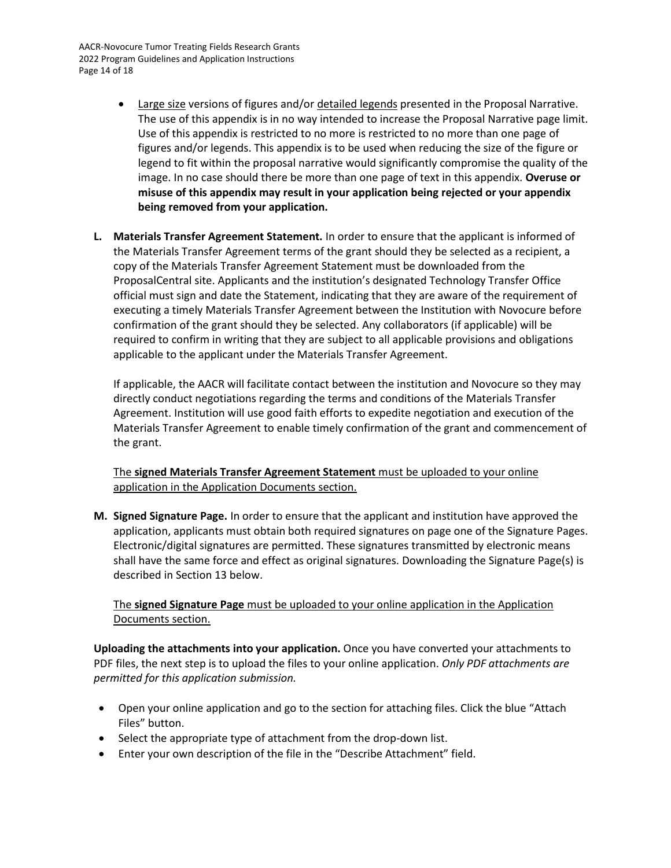AACR-Novocure Tumor Treating Fields Research Grants 2022 Program Guidelines and Application Instructions Page 14 of 18

- Large size versions of figures and/or detailed legends presented in the Proposal Narrative. The use of this appendix is in no way intended to increase the Proposal Narrative page limit. Use of this appendix is restricted to no more is restricted to no more than one page of figures and/or legends. This appendix is to be used when reducing the size of the figure or legend to fit within the proposal narrative would significantly compromise the quality of the image. In no case should there be more than one page of text in this appendix. **Overuse or misuse of this appendix may result in your application being rejected or your appendix being removed from your application.**
- **L. Materials Transfer Agreement Statement.** In order to ensure that the applicant is informed of the Materials Transfer Agreement terms of the grant should they be selected as a recipient, a copy of the Materials Transfer Agreement Statement must be downloaded from the ProposalCentral site. Applicants and the institution's designated Technology Transfer Office official must sign and date the Statement, indicating that they are aware of the requirement of executing a timely Materials Transfer Agreement between the Institution with Novocure before confirmation of the grant should they be selected. Any collaborators (if applicable) will be required to confirm in writing that they are subject to all applicable provisions and obligations applicable to the applicant under the Materials Transfer Agreement.

If applicable, the AACR will facilitate contact between the institution and Novocure so they may directly conduct negotiations regarding the terms and conditions of the Materials Transfer Agreement. Institution will use good faith efforts to expedite negotiation and execution of the Materials Transfer Agreement to enable timely confirmation of the grant and commencement of the grant.

The **signed Materials Transfer Agreement Statement** must be uploaded to your online application in the Application Documents section.

**M. Signed Signature Page.** In order to ensure that the applicant and institution have approved the application, applicants must obtain both required signatures on page one of the Signature Pages. Electronic/digital signatures are permitted. These signatures transmitted by electronic means shall have the same force and effect as original signatures. Downloading the Signature Page(s) is described in Section 13 below.

The **signed Signature Page** must be uploaded to your online application in the Application Documents section.

**Uploading the attachments into your application.** Once you have converted your attachments to PDF files, the next step is to upload the files to your online application. *Only PDF attachments are permitted for this application submission.*

- Open your online application and go to the section for attaching files. Click the blue "Attach Files" button.
- Select the appropriate type of attachment from the drop-down list.
- Enter your own description of the file in the "Describe Attachment" field.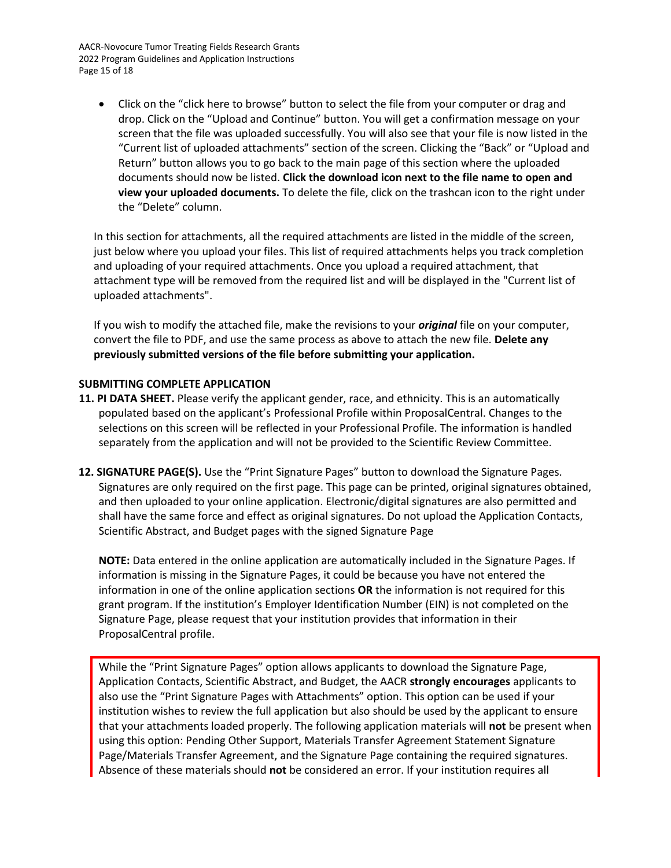AACR-Novocure Tumor Treating Fields Research Grants 2022 Program Guidelines and Application Instructions Page 15 of 18

• Click on the "click here to browse" button to select the file from your computer or drag and drop. Click on the "Upload and Continue" button. You will get a confirmation message on your screen that the file was uploaded successfully. You will also see that your file is now listed in the "Current list of uploaded attachments" section of the screen. Clicking the "Back" or "Upload and Return" button allows you to go back to the main page of this section where the uploaded documents should now be listed. **Click the download icon next to the file name to open and view your uploaded documents.** To delete the file, click on the trashcan icon to the right under the "Delete" column.

In this section for attachments, all the required attachments are listed in the middle of the screen, just below where you upload your files. This list of required attachments helps you track completion and uploading of your required attachments. Once you upload a required attachment, that attachment type will be removed from the required list and will be displayed in the "Current list of uploaded attachments".

If you wish to modify the attached file, make the revisions to your *original* file on your computer, convert the file to PDF, and use the same process as above to attach the new file. **Delete any previously submitted versions of the file before submitting your application.**

#### <span id="page-14-0"></span>**SUBMITTING COMPLETE APPLICATION**

- **11. PI DATA SHEET.** Please verify the applicant gender, race, and ethnicity. This is an automatically populated based on the applicant's Professional Profile within ProposalCentral. Changes to the selections on this screen will be reflected in your Professional Profile. The information is handled separately from the application and will not be provided to the Scientific Review Committee.
- **12. SIGNATURE PAGE(S).** Use the "Print Signature Pages" button to download the Signature Pages. Signatures are only required on the first page. This page can be printed, original signatures obtained, and then uploaded to your online application. Electronic/digital signatures are also permitted and shall have the same force and effect as original signatures. Do not upload the Application Contacts, Scientific Abstract, and Budget pages with the signed Signature Page

**NOTE:** Data entered in the online application are automatically included in the Signature Pages. If information is missing in the Signature Pages, it could be because you have not entered the information in one of the online application sections **OR** the information is not required for this grant program. If the institution's Employer Identification Number (EIN) is not completed on the Signature Page, please request that your institution provides that information in their ProposalCentral profile.

While the "Print Signature Pages" option allows applicants to download the Signature Page, Application Contacts, Scientific Abstract, and Budget, the AACR **strongly encourages** applicants to also use the "Print Signature Pages with Attachments" option. This option can be used if your institution wishes to review the full application but also should be used by the applicant to ensure that your attachments loaded properly. The following application materials will **not** be present when using this option: Pending Other Support, Materials Transfer Agreement Statement Signature Page/Materials Transfer Agreement, and the Signature Page containing the required signatures. Absence of these materials should **not** be considered an error. If your institution requires all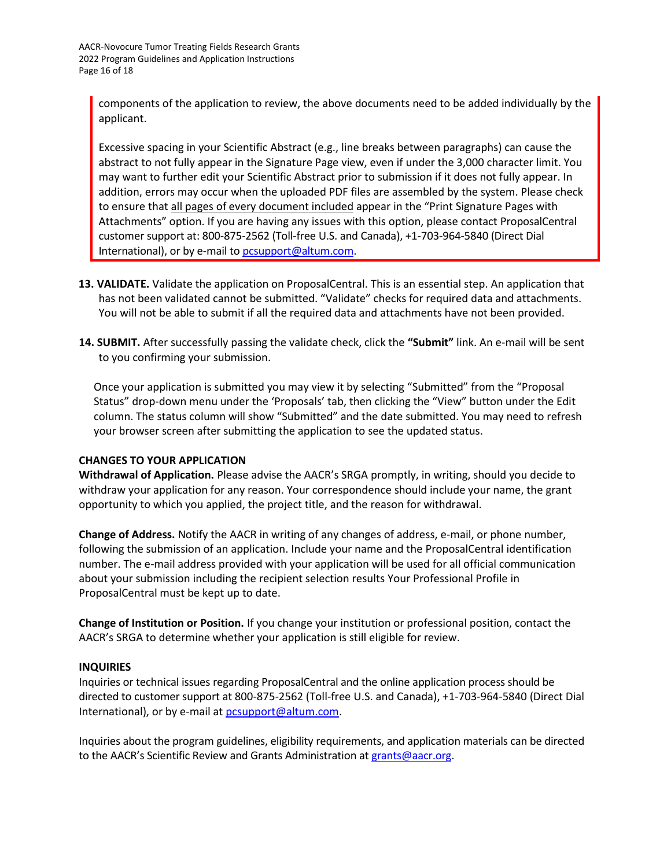components of the application to review, the above documents need to be added individually by the applicant.

Excessive spacing in your Scientific Abstract (e.g., line breaks between paragraphs) can cause the abstract to not fully appear in the Signature Page view, even if under the 3,000 character limit. You may want to further edit your Scientific Abstract prior to submission if it does not fully appear. In addition, errors may occur when the uploaded PDF files are assembled by the system. Please check to ensure that all pages of every document included appear in the "Print Signature Pages with Attachments" option. If you are having any issues with this option, please contact ProposalCentral customer support at: 800-875-2562 (Toll-free U.S. and Canada), +1-703-964-5840 (Direct Dial International), or by e-mail t[o pcsupport@altum.com.](mailto:pcsupport@altum.com)

- **13. VALIDATE.** Validate the application on ProposalCentral. This is an essential step. An application that has not been validated cannot be submitted. "Validate" checks for required data and attachments. You will not be able to submit if all the required data and attachments have not been provided.
- **14. SUBMIT.** After successfully passing the validate check, click the **"Submit"** link. An e-mail will be sent to you confirming your submission.

Once your application is submitted you may view it by selecting "Submitted" from the "Proposal Status" drop-down menu under the 'Proposals' tab, then clicking the "View" button under the Edit column. The status column will show "Submitted" and the date submitted. You may need to refresh your browser screen after submitting the application to see the updated status.

### <span id="page-15-0"></span>**CHANGES TO YOUR APPLICATION**

**Withdrawal of Application.** Please advise the AACR's SRGA promptly, in writing, should you decide to withdraw your application for any reason. Your correspondence should include your name, the grant opportunity to which you applied, the project title, and the reason for withdrawal.

**Change of Address.** Notify the AACR in writing of any changes of address, e-mail, or phone number, following the submission of an application. Include your name and the ProposalCentral identification number. The e-mail address provided with your application will be used for all official communication about your submission including the recipient selection results Your Professional Profile in ProposalCentral must be kept up to date.

**Change of Institution or Position.** If you change your institution or professional position, contact the AACR's SRGA to determine whether your application is still eligible for review.

### <span id="page-15-1"></span>**INQUIRIES**

Inquiries or technical issues regarding ProposalCentral and the online application process should be directed to customer support at 800-875-2562 (Toll-free U.S. and Canada), +1-703-964-5840 (Direct Dial International), or by e-mail at [pcsupport@altum.com.](mailto:pcsupport@altum.com)

Inquiries about the program guidelines, eligibility requirements, and application materials can be directed to the AACR's Scientific Review and Grants Administration at [grants@aacr.org.](mailto:grants@aacr.org)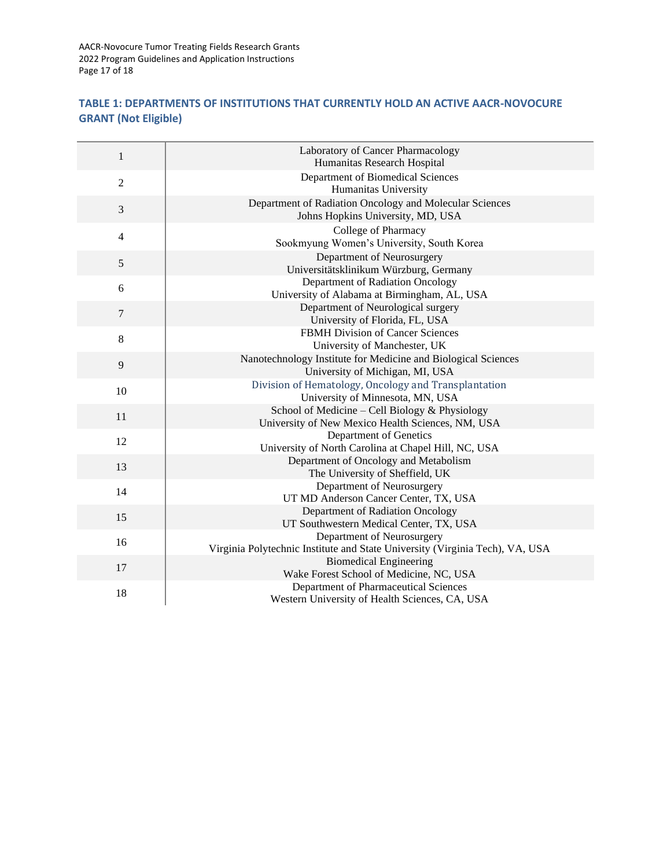AACR-Novocure Tumor Treating Fields Research Grants 2022 Program Guidelines and Application Instructions Page 17 of 18

### <span id="page-16-0"></span>**TABLE 1: DEPARTMENTS OF INSTITUTIONS THAT CURRENTLY HOLD AN ACTIVE AACR-NOVOCURE GRANT (Not Eligible)**

<span id="page-16-1"></span>

| $\mathbf{1}$     | Laboratory of Cancer Pharmacology<br>Humanitas Research Hospital                                           |
|------------------|------------------------------------------------------------------------------------------------------------|
| $\overline{2}$   | Department of Biomedical Sciences<br>Humanitas University                                                  |
| 3                | Department of Radiation Oncology and Molecular Sciences<br>Johns Hopkins University, MD, USA               |
| 4                | College of Pharmacy<br>Sookmyung Women's University, South Korea                                           |
| $\mathfrak s$    | Department of Neurosurgery<br>Universitätsklinikum Würzburg, Germany                                       |
| 6                | Department of Radiation Oncology<br>University of Alabama at Birmingham, AL, USA                           |
| $\boldsymbol{7}$ | Department of Neurological surgery<br>University of Florida, FL, USA                                       |
| 8                | FBMH Division of Cancer Sciences<br>University of Manchester, UK                                           |
| $\overline{9}$   | Nanotechnology Institute for Medicine and Biological Sciences<br>University of Michigan, MI, USA           |
| 10               | Division of Hematology, Oncology and Transplantation<br>University of Minnesota, MN, USA                   |
| 11               | School of Medicine - Cell Biology & Physiology<br>University of New Mexico Health Sciences, NM, USA        |
| 12               | Department of Genetics<br>University of North Carolina at Chapel Hill, NC, USA                             |
| 13               | Department of Oncology and Metabolism<br>The University of Sheffield, UK                                   |
| 14               | Department of Neurosurgery<br>UT MD Anderson Cancer Center, TX, USA                                        |
| 15               | Department of Radiation Oncology<br>UT Southwestern Medical Center, TX, USA                                |
| 16               | Department of Neurosurgery<br>Virginia Polytechnic Institute and State University (Virginia Tech), VA, USA |
| 17               | <b>Biomedical Engineering</b><br>Wake Forest School of Medicine, NC, USA                                   |
| 18               | Department of Pharmaceutical Sciences<br>Western University of Health Sciences, CA, USA                    |